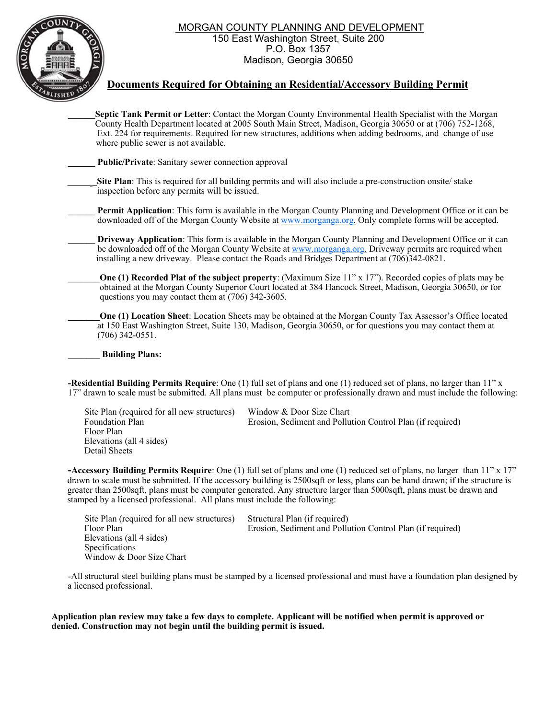MORGAN COUNTY PLANNING AND DEVELOPMENT

150 East Washington Street, Suite 200 P.O. Box 1357 Madison, Georgia 30650



## **Documents Required for Obtaining an Residential/Accessory Building Permit**

**\_\_\_\_\_\_Septic Tank Permit or Letter**: Contact the Morgan County Environmental Health Specialist with the Morgan County Health Department located at 2005 South Main Street, Madison, Georgia 30650 or at (706) 752-1268, Ext. 224 for requirements. Required for new structures, additions when adding bedrooms, and change of use where public sewer is not available.

**Public/Private:** Sanitary sewer connection approval

**Site Plan**: This is required for all building permits and will also include a pre-construction onsite/ stake inspection before any permits will be issued.

**Permit Application**: This form is available in the Morgan County Planning and Development Office or it can be downloaded off of the Morgan County Website at www.morganga.org. Only complete forms will be accepted.

**\_\_\_\_\_\_ Driveway Application**: This form is available in the Morgan County Planning and Development Office or it can be downloaded off of the Morgan County Website at www.morganga.org. Driveway permits are required when installing a new driveway. Please contact the Roads and Bridges Department at (706)342-0821.

**One (1) Recorded Plat of the subject property:** (Maximum Size 11" x 17"). Recorded copies of plats may be obtained at the Morgan County Superior Court located at 384 Hancock Street, Madison, Georgia 30650, or for questions you may contact them at (706) 342-3605.

**One (1) Location Sheet**: Location Sheets may be obtained at the Morgan County Tax Assessor's Office located at 150 East Washington Street, Suite 130, Madison, Georgia 30650, or for questions you may contact them at (706) 342-0551.

**\_\_\_\_\_\_\_ Building Plans:** 

**-Residential Building Permits Require**: One (1) full set of plans and one (1) reduced set of plans, no larger than 11" x 17" drawn to scale must be submitted. All plans must be computer or professionally drawn and must include the following:

Site Plan (required for all new structures) Window & Door Size Chart Foundation Plan Erosion, Sediment and Pollution Control Plan (if required) Floor Plan Elevations (all 4 sides) Detail Sheets

**-Accessory Building Permits Require**: One (1) full set of plans and one (1) reduced set of plans, no larger than 11" x 17" drawn to scale must be submitted. If the accessory building is 2500sqft or less, plans can be hand drawn; if the structure is greater than 2500sqft, plans must be computer generated. Any structure larger than 5000sqft, plans must be drawn and stamped by a licensed professional. All plans must include the following:

Site Plan (required for all new structures) Structural Plan (if required) Floor Plan Erosion, Sediment and Pollution Control Plan (if required) Elevations (all 4 sides) Specifications Window & Door Size Chart

-All structural steel building plans must be stamped by a licensed professional and must have a foundation plan designed by a licensed professional.

**Application plan review may take a few days to complete. Applicant will be notified when permit is approved or denied. Construction may not begin until the building permit is issued.**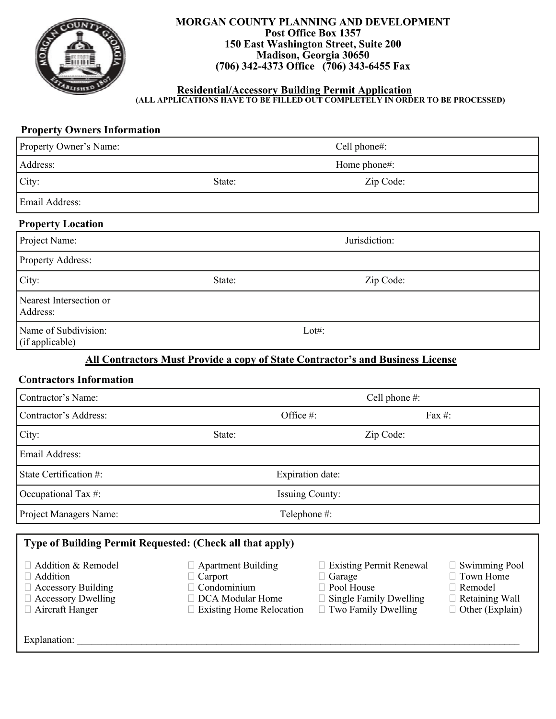

### **MORGAN COUNTY PLANNING AND DEVELOPMENT Post Office Box 1357 150 East Washington Street, Suite 200 Madison, Georgia 30650 (706) 342-4373 Office (706) 343-6455 Fax**

#### **Residential/Accessory Building Permit Application (ALL APPLICATIONS HAVE TO BE FILLED OUT COMPLETELY IN ORDER TO BE PROCESSED)**

# **Property Owners Information**

| Property Owner's Name:                                                                                                                      | Cell phone#:                                                                                                               |                                                                                                                    |                                                                                                          |  |  |  |  |
|---------------------------------------------------------------------------------------------------------------------------------------------|----------------------------------------------------------------------------------------------------------------------------|--------------------------------------------------------------------------------------------------------------------|----------------------------------------------------------------------------------------------------------|--|--|--|--|
| Address:                                                                                                                                    | Home phone#:                                                                                                               |                                                                                                                    |                                                                                                          |  |  |  |  |
| City:                                                                                                                                       | State:<br>Zip Code:                                                                                                        |                                                                                                                    |                                                                                                          |  |  |  |  |
| Email Address:                                                                                                                              |                                                                                                                            |                                                                                                                    |                                                                                                          |  |  |  |  |
| <b>Property Location</b>                                                                                                                    |                                                                                                                            |                                                                                                                    |                                                                                                          |  |  |  |  |
| Project Name:                                                                                                                               | Jurisdiction:                                                                                                              |                                                                                                                    |                                                                                                          |  |  |  |  |
| Property Address:                                                                                                                           |                                                                                                                            |                                                                                                                    |                                                                                                          |  |  |  |  |
| City:                                                                                                                                       | Zip Code:<br>State:                                                                                                        |                                                                                                                    |                                                                                                          |  |  |  |  |
| Nearest Intersection or<br>Address:                                                                                                         |                                                                                                                            |                                                                                                                    |                                                                                                          |  |  |  |  |
| Name of Subdivision:<br>(if applicable)                                                                                                     | $Lot#$ :                                                                                                                   |                                                                                                                    |                                                                                                          |  |  |  |  |
|                                                                                                                                             | <b>All Contractors Must Provide a copy of State Contractor's and Business License</b>                                      |                                                                                                                    |                                                                                                          |  |  |  |  |
| <b>Contractors Information</b>                                                                                                              |                                                                                                                            |                                                                                                                    |                                                                                                          |  |  |  |  |
| Contractor's Name:                                                                                                                          | Cell phone #:                                                                                                              |                                                                                                                    |                                                                                                          |  |  |  |  |
| Contractor's Address:                                                                                                                       |                                                                                                                            | Office #:<br>Fax #:                                                                                                |                                                                                                          |  |  |  |  |
| City:                                                                                                                                       | State:                                                                                                                     | Zip Code:                                                                                                          |                                                                                                          |  |  |  |  |
| Email Address:                                                                                                                              |                                                                                                                            |                                                                                                                    |                                                                                                          |  |  |  |  |
| State Certification #:                                                                                                                      | Expiration date:                                                                                                           |                                                                                                                    |                                                                                                          |  |  |  |  |
| Occupational Tax #:                                                                                                                         | <b>Issuing County:</b>                                                                                                     |                                                                                                                    |                                                                                                          |  |  |  |  |
| Project Managers Name:                                                                                                                      | Telephone #:                                                                                                               |                                                                                                                    |                                                                                                          |  |  |  |  |
|                                                                                                                                             | Type of Building Permit Requested: (Check all that apply)                                                                  |                                                                                                                    |                                                                                                          |  |  |  |  |
| $\Box$ Addition & Remodel<br>$\Box$ Addition<br>$\Box$ Accessory Building<br>$\Box$ Accessory Dwelling<br>□ Aircraft Hanger<br>Explanation: | $\Box$ Apartment Building<br>$\Box$ Carport<br>$\Box$ Condominium<br>□ DCA Modular Home<br>$\Box$ Existing Home Relocation | □ Existing Permit Renewal<br>Garage<br>□ Pool House<br><b>Single Family Dwelling</b><br>$\Box$ Two Family Dwelling | $\Box$ Swimming Pool<br>$\Box$ Town Home<br>□ Remodel<br>$\Box$ Retaining Wall<br>$\Box$ Other (Explain) |  |  |  |  |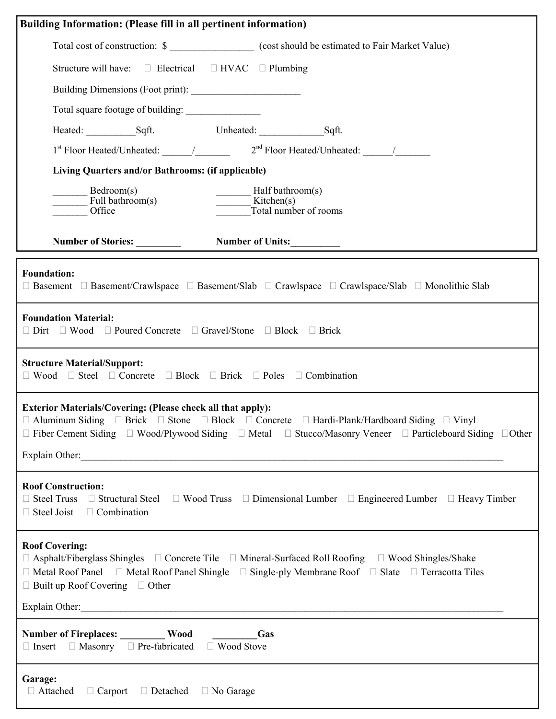| Building Information: (Please fill in all pertinent information)                                                                                                                                                                                                                                                                                 |  |  |  |  |  |  |
|--------------------------------------------------------------------------------------------------------------------------------------------------------------------------------------------------------------------------------------------------------------------------------------------------------------------------------------------------|--|--|--|--|--|--|
| Total cost of construction: \$                                                                                                                                                                                                                                                                                                                   |  |  |  |  |  |  |
| Structure will have: $\square$ Electrical $\square$ HVAC $\square$ Plumbing                                                                                                                                                                                                                                                                      |  |  |  |  |  |  |
|                                                                                                                                                                                                                                                                                                                                                  |  |  |  |  |  |  |
|                                                                                                                                                                                                                                                                                                                                                  |  |  |  |  |  |  |
|                                                                                                                                                                                                                                                                                                                                                  |  |  |  |  |  |  |
|                                                                                                                                                                                                                                                                                                                                                  |  |  |  |  |  |  |
| Living Quarters and/or Bathrooms: (if applicable)                                                                                                                                                                                                                                                                                                |  |  |  |  |  |  |
| Bedroom(s)<br>Half bathroom(s)<br>$\frac{1}{\sqrt{1-\frac{1}{c^2}}}$ Full bathroom(s)<br>$\frac{\ }{\ }$ Kitchen(s)<br>Total number of rooms<br>Office                                                                                                                                                                                           |  |  |  |  |  |  |
| Number of Units:<br>Number of Stories:                                                                                                                                                                                                                                                                                                           |  |  |  |  |  |  |
| <b>Foundation:</b><br>$\Box$ Basement $\Box$ Basement/Crawlspace $\Box$ Basement/Slab $\Box$ Crawlspace/Slab $\Box$ Monolithic Slab                                                                                                                                                                                                              |  |  |  |  |  |  |
| <b>Foundation Material:</b><br>$\Box$ Dirt $\Box$ Wood $\Box$ Poured Concrete $\Box$ Gravel/Stone $\Box$ Block $\Box$ Brick                                                                                                                                                                                                                      |  |  |  |  |  |  |
| <b>Structure Material/Support:</b><br>$\Box$ Wood $\Box$ Steel $\Box$ Concrete $\Box$ Block $\Box$ Brick $\Box$ Poles $\Box$ Combination                                                                                                                                                                                                         |  |  |  |  |  |  |
| <b>Exterior Materials/Covering: (Please check all that apply):</b><br>$\Box$ Aluminum Siding $\Box$ Brick $\Box$ Stone $\Box$ Block $\Box$ Concrete $\Box$ Hardi-Plank/Hardboard Siding $\Box$ Vinyl<br>$\Box$ Fiber Cement Siding $\Box$ Wood/Plywood Siding $\Box$ Metal $\Box$ Stucco/Masonry Veneer $\Box$ Particleboard Siding $\Box$ Other |  |  |  |  |  |  |
|                                                                                                                                                                                                                                                                                                                                                  |  |  |  |  |  |  |
| <b>Roof Construction:</b><br>$\Box$ Steel Truss $\Box$ Structural Steel $\Box$ Wood Truss $\Box$ Dimensional Lumber $\Box$ Engineered Lumber $\Box$ Heavy Timber<br>$\Box$ Steel Joist $\Box$ Combination                                                                                                                                        |  |  |  |  |  |  |
| <b>Roof Covering:</b><br>$\Box$ Asphalt/Fiberglass Shingles $\Box$ Concrete Tile $\Box$ Mineral-Surfaced Roll Roofing $\Box$ Wood Shingles/Shake<br>$\Box$ Metal Roof Panel $\Box$ Metal Roof Panel Shingle $\Box$ Single-ply Membrane Roof $\Box$ Slate $\Box$ Terracotta Tiles<br>$\Box$ Built up Roof Covering $\Box$ Other<br>Explain Other: |  |  |  |  |  |  |
| Number of Fireplaces: __________ Wood _________Gas<br>$\Box$ Insert $\Box$ Masonry $\Box$ Pre-fabricated $\Box$ Wood Stove                                                                                                                                                                                                                       |  |  |  |  |  |  |
| Garage:<br>$\Box$ Attached $\Box$ Carport $\Box$ Detached $\Box$ No Garage                                                                                                                                                                                                                                                                       |  |  |  |  |  |  |